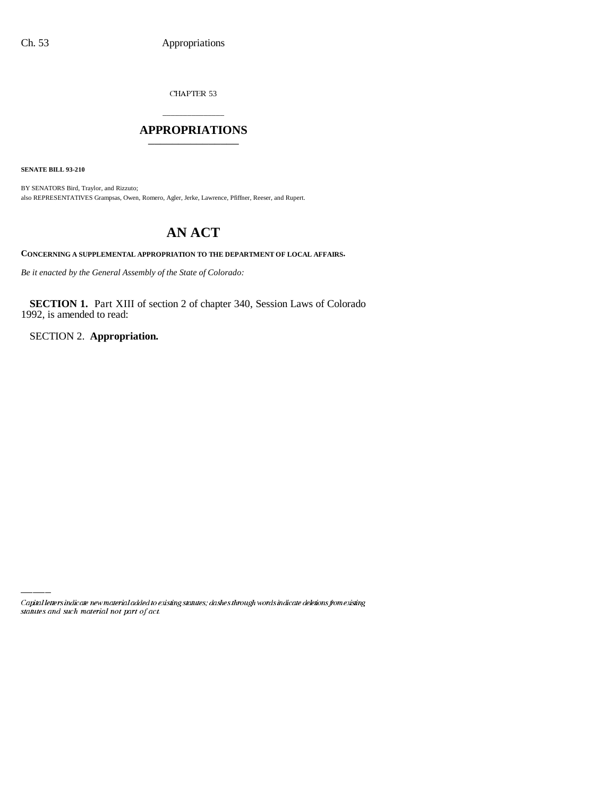CHAPTER 53

# \_\_\_\_\_\_\_\_\_\_\_\_\_\_\_ **APPROPRIATIONS** \_\_\_\_\_\_\_\_\_\_\_\_\_\_\_

**SENATE BILL 93-210**

BY SENATORS Bird, Traylor, and Rizzuto; also REPRESENTATIVES Grampsas, Owen, Romero, Agler, Jerke, Lawrence, Pfiffner, Reeser, and Rupert.

# **AN ACT**

**CONCERNING A SUPPLEMENTAL APPROPRIATION TO THE DEPARTMENT OF LOCAL AFFAIRS.**

*Be it enacted by the General Assembly of the State of Colorado:*

**SECTION 1.** Part XIII of section 2 of chapter 340, Session Laws of Colorado 1992, is amended to read:

SECTION 2. **Appropriation.**

Capital letters indicate new material added to existing statutes; dashes through words indicate deletions from existing statutes and such material not part of act.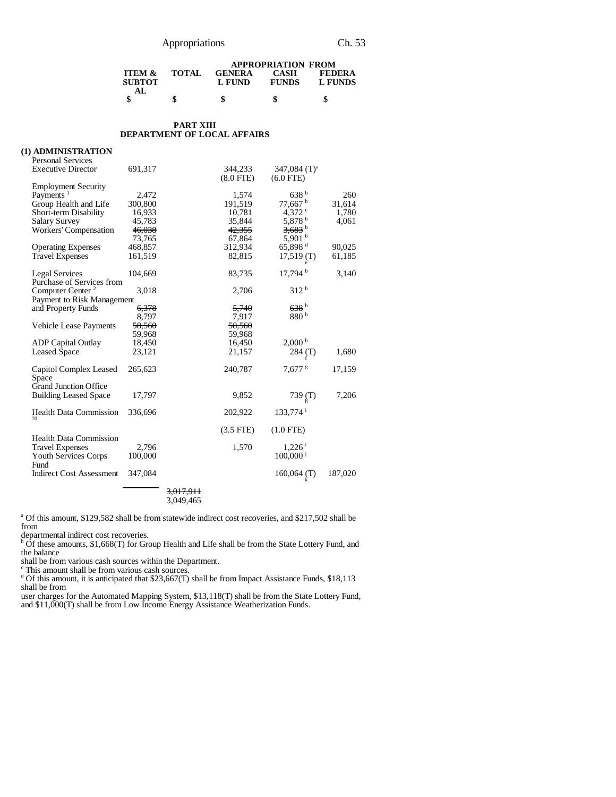# Appropriations Ch. 53

|                   |              | <b>APPROPRIATION FROM</b> |              |               |  |
|-------------------|--------------|---------------------------|--------------|---------------|--|
| <b>ITEM &amp;</b> | <b>TOTAL</b> | <b>GENERA</b>             | <b>CASH</b>  | <b>FEDERA</b> |  |
| <b>SUBTOT</b>     |              | L FUND                    | <b>FUNDS</b> | L FUNDS       |  |
| AI.               |              |                           |              |               |  |
|                   |              | S                         | S            | \$            |  |

#### **PART XIII DEPARTMENT OF LOCAL AFFAIRS**

| (1) ADMINISTRATION<br><b>Personal Services</b> |         |                      |                           |                                |         |
|------------------------------------------------|---------|----------------------|---------------------------|--------------------------------|---------|
| <b>Executive Director</b>                      | 691,317 |                      | 344,233<br>$(8.0$ FTE $)$ | 347,084 $(T)^a$<br>$(6.0$ FTE) |         |
| <b>Employment Security</b>                     |         |                      |                           |                                |         |
| Payments <sup>1</sup>                          | 2,472   |                      | 1,574                     | 638 <sup>b</sup>               | 260     |
| Group Health and Life                          | 300,800 |                      | 191,519                   | 77,667                         | 31,614  |
| Short-term Disability                          | 16,933  |                      | 10,781                    | 4,372 $\degree$                | 1,780   |
| <b>Salary Survey</b>                           | 45,783  |                      | 35,844                    | 5,878 b                        | 4,061   |
| <b>Workers' Compensation</b>                   | 46,038  |                      | 42,355                    | $3,683$ <sup>b</sup>           |         |
|                                                | 73,765  |                      | 67,864                    | 5,901 $^{\rm b}$               |         |
| <b>Operating Expenses</b>                      | 468,857 |                      | 312,934                   | 65,898 <sup>d</sup>            | 90,025  |
| <b>Travel Expenses</b>                         | 161,519 |                      | 82,815                    | $17,519$ (T)                   | 61,185  |
|                                                |         |                      |                           |                                |         |
| <b>Legal Services</b>                          | 104,669 |                      | 83,735                    | 17,794 <sup>b</sup>            | 3,140   |
| Purchase of Services from                      |         |                      |                           |                                |         |
| Computer Center <sup>2</sup>                   | 3,018   |                      | 2,706                     | 312 <sup>b</sup>               |         |
| Payment to Risk Management                     |         |                      |                           |                                |         |
| and Property Funds                             | 6,378   |                      | 5,740                     | 638h b                         |         |
|                                                | 8,797   |                      | 7,917                     | 880 <sup>b</sup>               |         |
| Vehicle Lease Payments                         | 58,560  |                      | 58.560                    |                                |         |
|                                                | 59,968  |                      | 59,968                    |                                |         |
| <b>ADP</b> Capital Outlay                      | 18,450  |                      | 16,450                    | 2,000 <sup>b</sup>             |         |
| <b>Leased Space</b>                            | 23,121  |                      | 21,157                    | 284 (T)                        | 1,680   |
|                                                |         |                      |                           |                                |         |
| Capitol Complex Leased                         | 265,623 |                      | 240,787                   | $7,677$ s                      | 17,159  |
| Space                                          |         |                      |                           |                                |         |
| <b>Grand Junction Office</b>                   |         |                      |                           |                                |         |
| <b>Building Leased Space</b>                   | 17,797  |                      | 9,852                     | 739 $(T)$                      | 7,206   |
|                                                |         |                      |                           |                                |         |
| <b>Health Data Commission</b>                  | 336,696 |                      | 202,922                   | $133,774$ <sup>i</sup>         |         |
| 70                                             |         |                      |                           |                                |         |
|                                                |         |                      | $(3.5$ FTE)               | $(1.0$ FTE)                    |         |
| <b>Health Data Commission</b>                  |         |                      |                           |                                |         |
| <b>Travel Expenses</b>                         | 2.796   |                      | 1,570                     | $1,226$ <sup>i</sup>           |         |
| Youth Services Corps                           | 100,000 |                      |                           | $100,000^{\frac{1}{3}}$        |         |
| Fund                                           |         |                      |                           |                                |         |
| Indirect Cost Assessment                       | 347,084 |                      |                           | $160,064$ (T)                  | 187,020 |
|                                                |         |                      |                           |                                |         |
|                                                |         | <del>3.017.911</del> |                           |                                |         |

3,049,465

<sup>a</sup> Of this amount, \$129,582 shall be from statewide indirect cost recoveries, and \$217,502 shall be from

departmental indirect cost recoveries.<br><sup>b</sup> Of these amounts, \$1,668(T) for Group Health and Life shall be from the State Lottery Fund, and the balance

shall be from various cash sources within the Department.<br>
Fhis amount shall be from various cash sources.<br>

<sup>d</sup> Of this amount, it is anticipated that \$23,667(T) shall be from Impact Assistance Funds, \$18,113 shall be from

user charges for the Automated Mapping System, \$13,118(T) shall be from the State Lottery Fund, and \$11,000(T) shall be from Low Income Energy Assistance Weatherization Funds.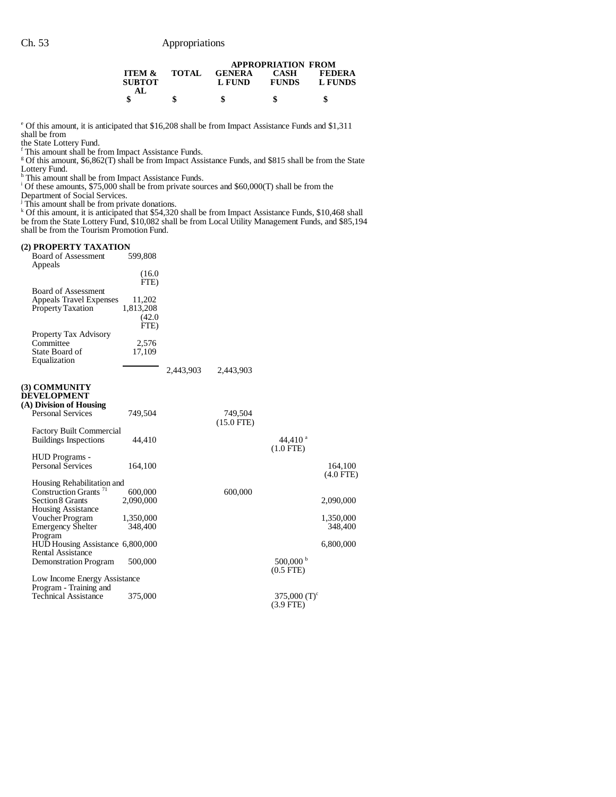|                                           |              |                         | <b>APPROPRIATION FROM</b>   |                          |
|-------------------------------------------|--------------|-------------------------|-----------------------------|--------------------------|
| <b>ITEM &amp;</b><br><b>SUBTOT</b><br>AL. | <b>TOTAL</b> | <b>GENERA</b><br>L FUND | <b>CASH</b><br><b>FUNDS</b> | <b>FEDERA</b><br>L FUNDS |
|                                           |              |                         |                             |                          |

<sup>e</sup> Of this amount, it is anticipated that \$16,208 shall be from Impact Assistance Funds and \$1,311 shall be from

the State Lottery Fund. f This amount shall be from Impact Assistance Funds. g Of this amount, \$6,862(T) shall be from Impact Assistance Funds, and \$815 shall be from the State

Lottery Fund. h This amount shall be from Impact Assistance Funds. i Of these amounts, \$75,000 shall be from private sources and \$60,000(T) shall be from the

Department of Social Services.<br><sup>j</sup> This amount shall be from private donations.<br><sup>k</sup> Of this amount, it is anticipated that \$54,320 shall be from Impact Assistance Funds, \$10,468 shall be from the State Lottery Fund, \$10,082 shall be from Local Utility Management Funds, and \$85,194 shall be from the Tourism Promotion Fund.

#### **(2) PROPERTY TAXATION**

| <b>Board of Assessment</b><br>Appeals                                                     | 599,808                       |           |                         |                                          |                           |
|-------------------------------------------------------------------------------------------|-------------------------------|-----------|-------------------------|------------------------------------------|---------------------------|
|                                                                                           | (16.0)<br>FTE)                |           |                         |                                          |                           |
| <b>Board of Assessment</b><br><b>Appeals Travel Expenses</b><br><b>Property Taxation</b>  | 11,202<br>1,813,208<br>(42.0) |           |                         |                                          |                           |
| Property Tax Advisory<br>Committee<br>State Board of<br>Equalization                      | FTE)<br>2,576<br>17,109       |           |                         |                                          |                           |
|                                                                                           |                               | 2,443,903 | 2,443,903               |                                          |                           |
| (3) COMMUNITY<br><b>DEVELOPMENT</b><br>(A) Division of Housing                            |                               |           |                         |                                          |                           |
| <b>Personal Services</b>                                                                  | 749,504                       |           | 749,504<br>$(15.0$ FTE) |                                          |                           |
| <b>Factory Built Commercial</b><br><b>Buildings Inspections</b>                           | 44,410                        |           |                         | 44,410 $a$<br>$(1.0$ FTE)                |                           |
| HUD Programs -<br><b>Personal Services</b>                                                | 164,100                       |           |                         |                                          | 164,100<br>$(4.0$ FTE $)$ |
| Housing Rehabilitation and                                                                |                               |           |                         |                                          |                           |
| Construction Grants <sup>71</sup><br><b>Section 8 Grants</b><br><b>Housing Assistance</b> | 600,000<br>2,090,000          |           | 600,000                 |                                          | 2,090,000                 |
| Voucher Program                                                                           | 1,350,000                     |           |                         |                                          | 1,350,000                 |
| <b>Emergency Shelter</b><br>Program                                                       | 348,400                       |           |                         |                                          | 348,400                   |
| HUD Housing Assistance 6,800,000<br><b>Rental Assistance</b>                              |                               |           |                         |                                          | 6,800,000                 |
| <b>Demonstration Program</b>                                                              | 500,000                       |           |                         | $500,000^{\mathrm{b}}$<br>$(0.5$ FTE $)$ |                           |
| Low Income Energy Assistance<br>Program - Training and                                    |                               |           |                         |                                          |                           |
| <b>Technical Assistance</b>                                                               | 375,000                       |           |                         | 375,000 $(T)^c$<br>$(3.9$ FTE)           |                           |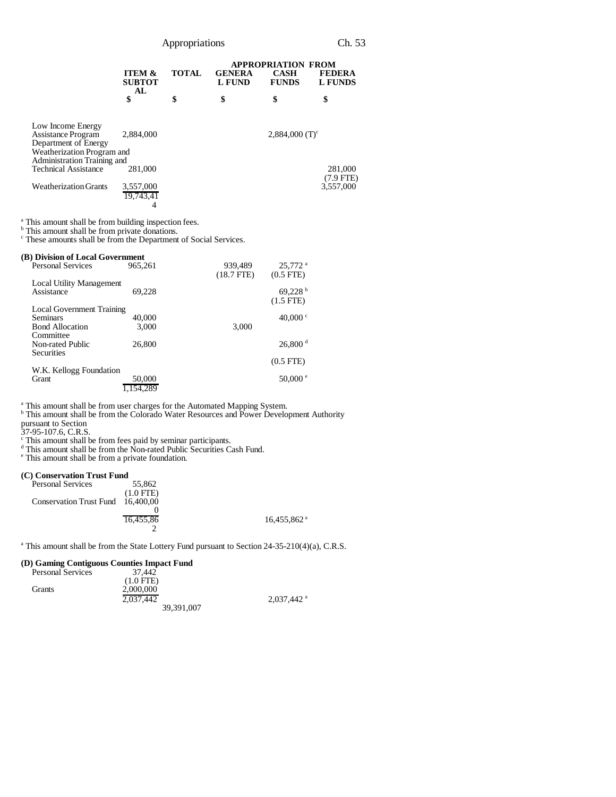|                                    |                                                                            |                                | <b>APPROPRIATION FROM</b>   |                                 |  |
|------------------------------------|----------------------------------------------------------------------------|--------------------------------|-----------------------------|---------------------------------|--|
| <b>ITEM &amp;</b><br><b>SUBTOT</b> | <b>TOTAL</b>                                                               | <b>GENERA</b><br><b>L FUND</b> | <b>CASH</b><br><b>FUNDS</b> | <b>FEDERA</b><br><b>L FUNDS</b> |  |
| \$                                 | \$                                                                         | \$                             | \$                          | \$                              |  |
|                                    |                                                                            |                                |                             |                                 |  |
| 2.884,000                          |                                                                            |                                |                             |                                 |  |
|                                    |                                                                            |                                |                             |                                 |  |
|                                    |                                                                            |                                |                             |                                 |  |
|                                    |                                                                            |                                |                             |                                 |  |
|                                    |                                                                            |                                |                             | 281,000                         |  |
|                                    |                                                                            |                                |                             | $(7.9$ FTE)                     |  |
| 3,557,000                          |                                                                            |                                |                             | 3.557.000                       |  |
| 19.743.41                          |                                                                            |                                |                             |                                 |  |
|                                    |                                                                            |                                |                             |                                 |  |
|                                    | AL<br>Weatherization Program and<br>Administration Training and<br>281,000 |                                |                             | 2,884,000 $(T)^c$               |  |

<sup>a</sup> This amount shall be from building inspection fees.<br><sup>b</sup> This amount shall be from private donations.<br><sup>c</sup> These amounts shall be from the Department of Social Services.

|  |  |  |  | (B) Division of Local Government |
|--|--|--|--|----------------------------------|
|--|--|--|--|----------------------------------|

| <b>Personal Services</b>               | 965,261 | 939,489<br>$(18.7$ FTE) | 25,772 <sup>a</sup><br>$(0.5$ FTE $)$ |
|----------------------------------------|---------|-------------------------|---------------------------------------|
| Local Utility Management<br>Assistance | 69.228  |                         | 69,228<br>$(1.5$ FTE $)$              |
| <b>Local Government Training</b>       |         |                         |                                       |
| <b>Seminars</b>                        | 40,000  |                         | 40,000 $\degree$                      |
| <b>Bond Allocation</b>                 | 3,000   | 3,000                   |                                       |
| Committee                              |         |                         |                                       |
| Non-rated Public                       | 26,800  |                         | 26,800 <sup>d</sup>                   |
| <b>Securities</b>                      |         |                         |                                       |
|                                        |         |                         | $(0.5$ FTE $)$                        |
| W.K. Kellogg Foundation                |         |                         |                                       |
| <b>Grant</b>                           | 50,000  |                         | $50,000$ $\degree$                    |
|                                        | 154,289 |                         |                                       |
|                                        |         |                         |                                       |

<sup>a</sup> This amount shall be from user charges for the Automated Mapping System.<br><sup>b</sup> This amount shall be from the Colorado Water Resources and Power Development Authority pursuant to Section

37-95-107.6, C.R.S.<br>
<sup>c</sup> This amount shall be from fees paid by seminar participants.<br>
<sup>d</sup> This amount shall be from a private foundation.<br>
<sup>e</sup> This amount shall be from a private foundation.

#### **(C) Conservation Trust Fund**

| <b>Personal Services</b>          | 55,862      |                           |
|-----------------------------------|-------------|---------------------------|
|                                   | $(1.0$ FTE) |                           |
| Conservation Trust Fund 16,400,00 |             |                           |
|                                   |             |                           |
|                                   | 16.455.86   | $16.455.862$ <sup>a</sup> |
|                                   |             |                           |

<sup>a</sup> This amount shall be from the State Lottery Fund pursuant to Section 24-35-210(4)(a), C.R.S.

 $2,037,442$ <sup>a</sup>

#### **(D) Gaming Contiguous Counties Impact Fund**

| <b>Personal Services</b> | 37.442      |
|--------------------------|-------------|
|                          | $(1.0$ FTE) |
| Grants                   | 2,000,000   |
|                          | 2.037.442   |
|                          | 39.391.007  |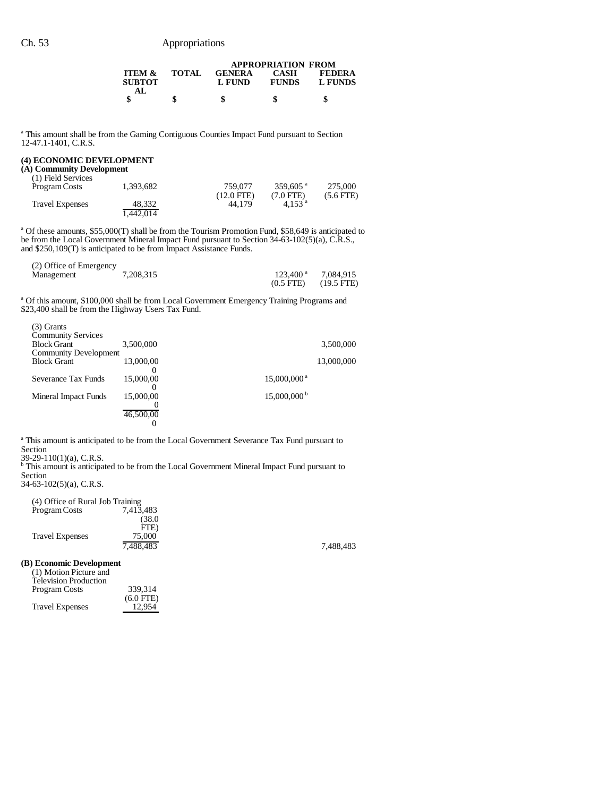### Ch. 53 Appropriations

|                                    |              |                         | <b>APPROPRIATION FROM</b>   |                          |  |
|------------------------------------|--------------|-------------------------|-----------------------------|--------------------------|--|
| <b>ITEM &amp;</b><br><b>SUBTOT</b> | <b>TOTAL</b> | <b>GENERA</b><br>L FUND | <b>CASH</b><br><b>FUNDS</b> | <b>FEDERA</b><br>L FUNDS |  |
| АI                                 | \$           | \$                      |                             |                          |  |

<sup>a</sup> This amount shall be from the Gaming Contiguous Counties Impact Fund pursuant to Section 12-47.1-1401, C.R.S.

#### **(4) ECONOMIC DEVELOPMENT**

#### **(A) Community Development**

| (1) Field Services     |           |              |                      |             |
|------------------------|-----------|--------------|----------------------|-------------|
| Program Costs          | 1.393.682 | 759.077      | 359.605 $^{\circ}$   | 275,000     |
|                        |           | $(12.0$ FTE) | $(7.0$ FTE)          | $(5.6$ FTE) |
| <b>Travel Expenses</b> | 48.332    | 44.179       | $4.153$ <sup>a</sup> |             |
|                        | 1.442.014 |              |                      |             |

<sup>a</sup> Of these amounts, \$55,000(T) shall be from the Tourism Promotion Fund, \$58,649 is anticipated to be from the Local Government Mineral Impact Fund pursuant to Section 34-63-102(5)(a), C.R.S., and \$250,109(T) is anticipated to be from Impact Assistance Funds.

| (2) Office of Emergency |           |                        |                      |
|-------------------------|-----------|------------------------|----------------------|
| Management              | 7.208.315 | $123.400$ <sup>a</sup> | 7.084.915            |
|                         |           | $(0.5$ FTE)            | $(19.5 \text{ FTE})$ |

<sup>a</sup> Of this amount, \$100,000 shall be from Local Government Emergency Training Programs and \$23,400 shall be from the Highway Users Tax Fund.

| $(3)$ Grants<br><b>Community Services</b><br><b>Block Grant</b> | 3,500,000      |                           | 3,500,000  |
|-----------------------------------------------------------------|----------------|---------------------------|------------|
| <b>Community Development</b>                                    |                |                           |            |
| <b>Block Grant</b>                                              | 13,000,00      |                           | 13,000,000 |
| Severance Tax Funds                                             | 15,000,00      | $15,000,000$ <sup>a</sup> |            |
| Mineral Impact Funds                                            | 15,000,00      | $15,000,000^{\mathrm{b}}$ |            |
|                                                                 | 46,500,00<br>0 |                           |            |

<sup>a</sup> This amount is anticipated to be from the Local Government Severance Tax Fund pursuant to Section

39-29-110(1)(a), C.R.S. b This amount is anticipated to be from the Local Government Mineral Impact Fund pursuant to Section

34-63-102(5)(a), C.R.S.

| (4) Office of Rural Job Training |           |           |
|----------------------------------|-----------|-----------|
| Program Costs                    | 7.413.483 |           |
|                                  | (38.0     |           |
|                                  | FTE)      |           |
| <b>Travel Expenses</b>           | 75,000    |           |
|                                  | 7.488.483 | 7,488,483 |

**(B) Economic Development**

| (1) Motion Picture and<br><b>Television Production</b> |             |
|--------------------------------------------------------|-------------|
| Program Costs                                          | 339.314     |
|                                                        | $(6.0$ FTE) |
| <b>Travel Expenses</b>                                 | 12.954      |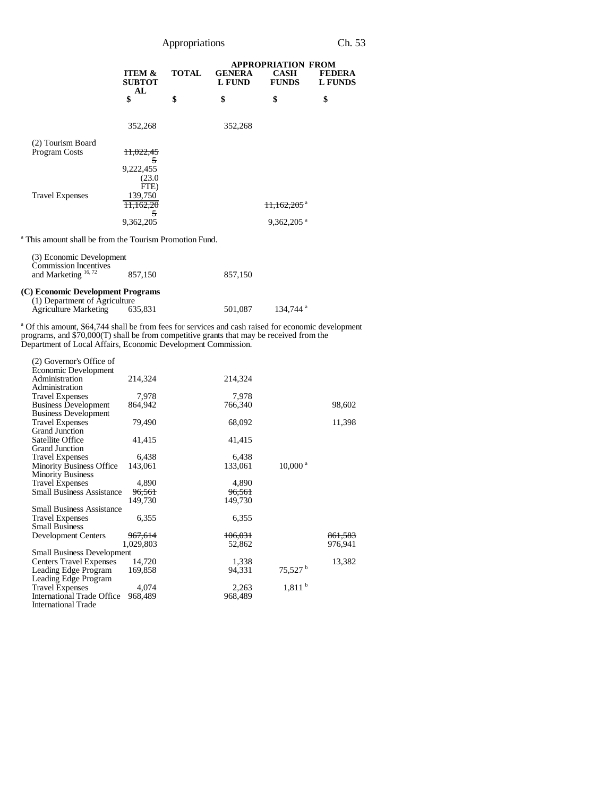| Appropriations |  |
|----------------|--|

|                                           |                                          |              | <b>APPROPRIATION FROM</b>      |                             |                                 |  |
|-------------------------------------------|------------------------------------------|--------------|--------------------------------|-----------------------------|---------------------------------|--|
|                                           | <b>ITEM &amp;</b><br><b>SUBTOT</b><br>AL | <b>TOTAL</b> | <b>GENERA</b><br><b>L FUND</b> | <b>CASH</b><br><b>FUNDS</b> | <b>FEDERA</b><br><b>L FUNDS</b> |  |
|                                           | \$                                       | \$           | \$                             | \$                          | \$                              |  |
|                                           | 352,268                                  |              | 352,268                        |                             |                                 |  |
| (2) Tourism Board<br><b>Program Costs</b> | 11,022,45                                |              |                                |                             |                                 |  |
|                                           | 5<br>9,222,455<br>(23.0)                 |              |                                |                             |                                 |  |
| <b>Travel Expenses</b>                    | FTE)<br>139,750                          |              |                                |                             |                                 |  |
|                                           | 11,162,20<br>5                           |              |                                | $\frac{11.162.205}{9}$      |                                 |  |
|                                           | 9,362,205                                |              |                                | $9,362,205$ <sup>a</sup>    |                                 |  |

<sup>a</sup> This amount shall be from the Tourism Promotion Fund.

| (3) Economic Development<br><b>Commission Incentives</b>                                           |         |         |                        |
|----------------------------------------------------------------------------------------------------|---------|---------|------------------------|
| and Marketing $16, 72$                                                                             | 857,150 | 857,150 |                        |
| (C) Economic Development Programs<br>(1) Department of Agriculture<br><b>Agriculture Marketing</b> | 635.831 | 501,087 | $134.744$ <sup>a</sup> |

a Of this amount, \$64,744 shall be from fees for services and cash raised for economic development programs, and \$70,000(T) shall be from competitive grants that may be received from the Department of Local Affairs, Economic Development Commission.

| (2) Governor's Office of          |           |         |                       |         |
|-----------------------------------|-----------|---------|-----------------------|---------|
| Economic Development              |           |         |                       |         |
| Administration                    | 214,324   | 214,324 |                       |         |
| Administration                    |           |         |                       |         |
| <b>Travel Expenses</b>            | 7,978     | 7,978   |                       |         |
| <b>Business Development</b>       | 864,942   | 766,340 |                       | 98,602  |
| <b>Business Development</b>       |           |         |                       |         |
| <b>Travel Expenses</b>            | 79,490    | 68,092  |                       | 11,398  |
| Grand Junction                    |           |         |                       |         |
| Satellite Office                  | 41,415    | 41,415  |                       |         |
| <b>Grand Junction</b>             |           |         |                       |         |
| <b>Travel Expenses</b>            | 6,438     | 6,438   |                       |         |
| <b>Minority Business Office</b>   | 143,061   | 133,061 | $10,000$ <sup>a</sup> |         |
| <b>Minority Business</b>          |           |         |                       |         |
| <b>Travel Expenses</b>            | 4,890     | 4,890   |                       |         |
| <b>Small Business Assistance</b>  | 96,561    | 96,561  |                       |         |
|                                   | 149,730   | 149,730 |                       |         |
| <b>Small Business Assistance</b>  |           |         |                       |         |
| <b>Travel Expenses</b>            | 6,355     | 6,355   |                       |         |
| <b>Small Business</b>             |           |         |                       |         |
| Development Centers               | 967,614   | 106.031 |                       | 861,583 |
|                                   | 1,029,803 | 52,862  |                       | 976,941 |
| <b>Small Business Development</b> |           |         |                       |         |
| <b>Centers Travel Expenses</b>    | 14,720    | 1,338   |                       | 13,382  |
| Leading Edge Program              | 169,858   | 94,331  | $75,527^{\mathrm{b}}$ |         |
| Leading Edge Program              |           |         |                       |         |
| <b>Travel Expenses</b>            | 4,074     | 2,263   | 1,811 <sup>b</sup>    |         |
| International Trade Office        | 968,489   | 968,489 |                       |         |
| <b>International Trade</b>        |           |         |                       |         |